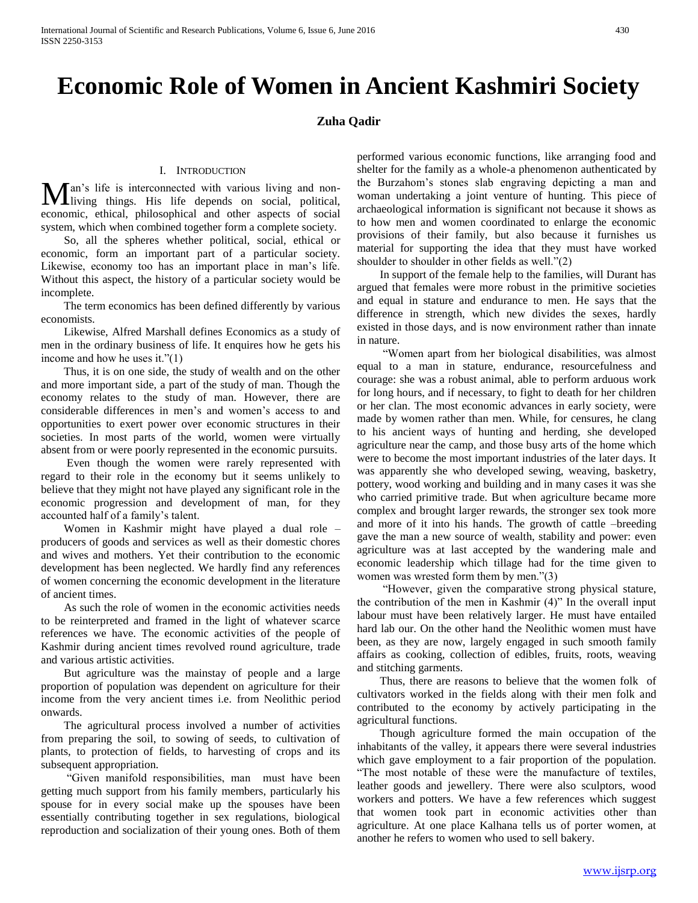## **Economic Role of Women in Ancient Kashmiri Society**

## **Zuha Qadir**

## I. INTRODUCTION

an's life is interconnected with various living and non-Man's life is interconnected with various living and non-<br>living things. His life depends on social, political, economic, ethical, philosophical and other aspects of social system, which when combined together form a complete society.

 So, all the spheres whether political, social, ethical or economic, form an important part of a particular society. Likewise, economy too has an important place in man's life. Without this aspect, the history of a particular society would be incomplete.

 The term economics has been defined differently by various economists.

 Likewise, Alfred Marshall defines Economics as a study of men in the ordinary business of life. It enquires how he gets his income and how he uses it."(1)

 Thus, it is on one side, the study of wealth and on the other and more important side, a part of the study of man. Though the economy relates to the study of man. However, there are considerable differences in men's and women's access to and opportunities to exert power over economic structures in their societies. In most parts of the world, women were virtually absent from or were poorly represented in the economic pursuits.

 Even though the women were rarely represented with regard to their role in the economy but it seems unlikely to believe that they might not have played any significant role in the economic progression and development of man, for they accounted half of a family's talent.

 Women in Kashmir might have played a dual role – producers of goods and services as well as their domestic chores and wives and mothers. Yet their contribution to the economic development has been neglected. We hardly find any references of women concerning the economic development in the literature of ancient times.

 As such the role of women in the economic activities needs to be reinterpreted and framed in the light of whatever scarce references we have. The economic activities of the people of Kashmir during ancient times revolved round agriculture, trade and various artistic activities.

 But agriculture was the mainstay of people and a large proportion of population was dependent on agriculture for their income from the very ancient times i.e. from Neolithic period onwards.

 The agricultural process involved a number of activities from preparing the soil, to sowing of seeds, to cultivation of plants, to protection of fields, to harvesting of crops and its subsequent appropriation.

 "Given manifold responsibilities, man must have been getting much support from his family members, particularly his spouse for in every social make up the spouses have been essentially contributing together in sex regulations, biological reproduction and socialization of their young ones. Both of them performed various economic functions, like arranging food and shelter for the family as a whole-a phenomenon authenticated by the Burzahom's stones slab engraving depicting a man and woman undertaking a joint venture of hunting. This piece of archaeological information is significant not because it shows as to how men and women coordinated to enlarge the economic provisions of their family, but also because it furnishes us material for supporting the idea that they must have worked shoulder to shoulder in other fields as well."(2)

 In support of the female help to the families, will Durant has argued that females were more robust in the primitive societies and equal in stature and endurance to men. He says that the difference in strength, which new divides the sexes, hardly existed in those days, and is now environment rather than innate in nature.

 "Women apart from her biological disabilities, was almost equal to a man in stature, endurance, resourcefulness and courage: she was a robust animal, able to perform arduous work for long hours, and if necessary, to fight to death for her children or her clan. The most economic advances in early society, were made by women rather than men. While, for censures, he clang to his ancient ways of hunting and herding, she developed agriculture near the camp, and those busy arts of the home which were to become the most important industries of the later days. It was apparently she who developed sewing, weaving, basketry, pottery, wood working and building and in many cases it was she who carried primitive trade. But when agriculture became more complex and brought larger rewards, the stronger sex took more and more of it into his hands. The growth of cattle –breeding gave the man a new source of wealth, stability and power: even agriculture was at last accepted by the wandering male and economic leadership which tillage had for the time given to women was wrested form them by men."(3)

 "However, given the comparative strong physical stature, the contribution of the men in Kashmir (4)" In the overall input labour must have been relatively larger. He must have entailed hard lab our. On the other hand the Neolithic women must have been, as they are now, largely engaged in such smooth family affairs as cooking, collection of edibles, fruits, roots, weaving and stitching garments.

 Thus, there are reasons to believe that the women folk of cultivators worked in the fields along with their men folk and contributed to the economy by actively participating in the agricultural functions.

 Though agriculture formed the main occupation of the inhabitants of the valley, it appears there were several industries which gave employment to a fair proportion of the population. "The most notable of these were the manufacture of textiles, leather goods and jewellery. There were also sculptors, wood workers and potters. We have a few references which suggest that women took part in economic activities other than agriculture. At one place Kalhana tells us of porter women, at another he refers to women who used to sell bakery.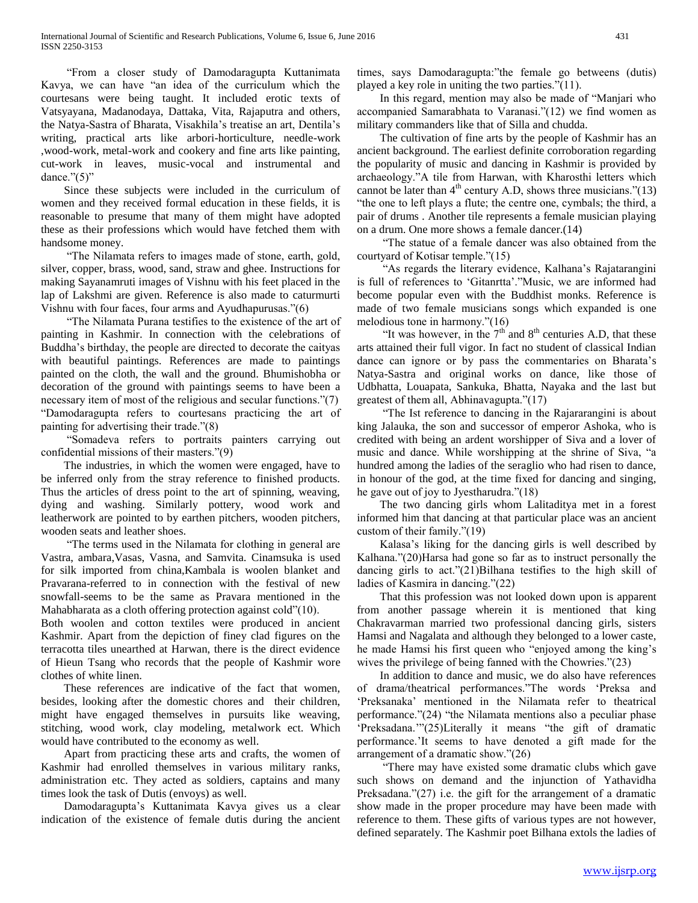"From a closer study of Damodaragupta Kuttanimata Kavya, we can have "an idea of the curriculum which the courtesans were being taught. It included erotic texts of Vatsyayana, Madanodaya, Dattaka, Vita, Rajaputra and others, the Natya-Sastra of Bharata, Visakhila's treatise an art, Dentila's writing, practical arts like arbori-horticulture, needle-work ,wood-work, metal-work and cookery and fine arts like painting, cut-work in leaves, music-vocal and instrumental and dance."(5)"

 Since these subjects were included in the curriculum of women and they received formal education in these fields, it is reasonable to presume that many of them might have adopted these as their professions which would have fetched them with handsome money.

 "The Nilamata refers to images made of stone, earth, gold, silver, copper, brass, wood, sand, straw and ghee. Instructions for making Sayanamruti images of Vishnu with his feet placed in the lap of Lakshmi are given. Reference is also made to caturmurti Vishnu with four faces, four arms and Ayudhapurusas."(6)

 "The Nilamata Purana testifies to the existence of the art of painting in Kashmir. In connection with the celebrations of Buddha's birthday, the people are directed to decorate the caityas with beautiful paintings. References are made to paintings painted on the cloth, the wall and the ground. Bhumishobha or decoration of the ground with paintings seems to have been a necessary item of most of the religious and secular functions."(7) "Damodaragupta refers to courtesans practicing the art of painting for advertising their trade."(8)

 "Somadeva refers to portraits painters carrying out confidential missions of their masters."(9)

 The industries, in which the women were engaged, have to be inferred only from the stray reference to finished products. Thus the articles of dress point to the art of spinning, weaving, dying and washing. Similarly pottery, wood work and leatherwork are pointed to by earthen pitchers, wooden pitchers, wooden seats and leather shoes.

 "The terms used in the Nilamata for clothing in general are Vastra, ambara,Vasas, Vasna, and Samvita. Cinamsuka is used for silk imported from china,Kambala is woolen blanket and Pravarana-referred to in connection with the festival of new snowfall-seems to be the same as Pravara mentioned in the Mahabharata as a cloth offering protection against cold"(10).

Both woolen and cotton textiles were produced in ancient Kashmir. Apart from the depiction of finey clad figures on the terracotta tiles unearthed at Harwan, there is the direct evidence of Hieun Tsang who records that the people of Kashmir wore clothes of white linen.

 These references are indicative of the fact that women, besides, looking after the domestic chores and their children, might have engaged themselves in pursuits like weaving, stitching, wood work, clay modeling, metalwork ect. Which would have contributed to the economy as well.

 Apart from practicing these arts and crafts, the women of Kashmir had enrolled themselves in various military ranks, administration etc. They acted as soldiers, captains and many times look the task of Dutis (envoys) as well.

 Damodaragupta's Kuttanimata Kavya gives us a clear indication of the existence of female dutis during the ancient times, says Damodaragupta:"the female go betweens (dutis) played a key role in uniting the two parties."(11).

 In this regard, mention may also be made of "Manjari who accompanied Samarabhata to Varanasi."(12) we find women as military commanders like that of Silla and chudda.

 The cultivation of fine arts by the people of Kashmir has an ancient background. The earliest definite corroboration regarding the popularity of music and dancing in Kashmir is provided by archaeology."A tile from Harwan, with Kharosthi letters which cannot be later than  $4<sup>th</sup>$  century A.D, shows three musicians."(13) "the one to left plays a flute; the centre one, cymbals; the third, a pair of drums . Another tile represents a female musician playing on a drum. One more shows a female dancer.(14)

 "The statue of a female dancer was also obtained from the courtyard of Kotisar temple."(15)

 "As regards the literary evidence, Kalhana's Rajatarangini is full of references to 'Gitanrtta'."Music, we are informed had become popular even with the Buddhist monks. Reference is made of two female musicians songs which expanded is one melodious tone in harmony."(16)

"It was however, in the  $7<sup>th</sup>$  and  $8<sup>th</sup>$  centuries A.D, that these arts attained their full vigor. In fact no student of classical Indian dance can ignore or by pass the commentaries on Bharata's Natya-Sastra and original works on dance, like those of Udbhatta, Louapata, Sankuka, Bhatta, Nayaka and the last but greatest of them all, Abhinavagupta."(17)

 "The Ist reference to dancing in the Rajararangini is about king Jalauka, the son and successor of emperor Ashoka, who is credited with being an ardent worshipper of Siva and a lover of music and dance. While worshipping at the shrine of Siva, "a hundred among the ladies of the seraglio who had risen to dance, in honour of the god, at the time fixed for dancing and singing, he gave out of joy to Jyestharudra."(18)

 The two dancing girls whom Lalitaditya met in a forest informed him that dancing at that particular place was an ancient custom of their family."(19)

 Kalasa's liking for the dancing girls is well described by Kalhana."(20)Harsa had gone so far as to instruct personally the dancing girls to act."(21)Bilhana testifies to the high skill of ladies of Kasmira in dancing."(22)

 That this profession was not looked down upon is apparent from another passage wherein it is mentioned that king Chakravarman married two professional dancing girls, sisters Hamsi and Nagalata and although they belonged to a lower caste, he made Hamsi his first queen who "enjoyed among the king's wives the privilege of being fanned with the Chowries."(23)

 In addition to dance and music, we do also have references of drama/theatrical performances."The words 'Preksa and 'Preksanaka' mentioned in the Nilamata refer to theatrical performance."(24) "the Nilamata mentions also a peculiar phase 'Preksadana.'"(25)Literally it means "the gift of dramatic performance.'It seems to have denoted a gift made for the arrangement of a dramatic show."(26)

 "There may have existed some dramatic clubs which gave such shows on demand and the injunction of Yathavidha Preksadana."(27) i.e. the gift for the arrangement of a dramatic show made in the proper procedure may have been made with reference to them. These gifts of various types are not however, defined separately. The Kashmir poet Bilhana extols the ladies of